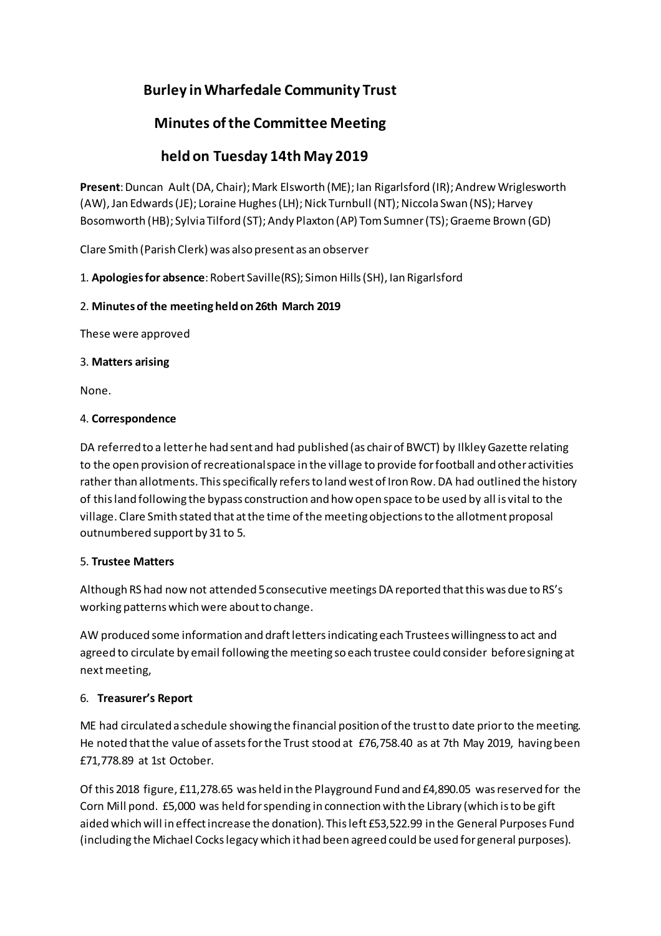# **Burley inWharfedale Community Trust**

# **Minutes ofthe Committee Meeting**

# **held on Tuesday 14th May 2019**

Present: Duncan Ault (DA, Chair); Mark Elsworth (ME); lan Rigarlsford (IR); Andrew Wriglesworth (AW), Jan Edwards (JE); Loraine Hughes (LH); Nick Turnbull (NT); Niccola Swan (NS); Harvey Bosomworth (HB); Sylvia Tilford (ST); Andy Plaxton (AP) Tom Sumner (TS); Graeme Brown (GD)

Clare Smith (Parish Clerk) was also present as an observer

1. **Apologies for absence**: Robert Saville(RS); Simon Hills (SH), Ian Rigarlsford

# 2. **Minutes of the meeting heldon26th March 2019**

These were approved

## 3. **Matters arising**

None.

## 4. **Correspondence**

DA referred to a letterhe had sent and had published (as chairof BWCT) by IlkleyGazette relating to the open provision ofrecreationalspace in the village to provide forfootball and otheractivities rather than allotments. This specifically refers to land west of Iron Row. DA had outlined the history of thisland following the bypass construction and how open space to be used by all is vital to the village. Clare Smith stated that atthe time ofthe meeting objectionsto the allotment proposal outnumbered support by 31 to 5.

# 5. **Trustee Matters**

Although RS had now not attended 5 consecutive meetings DA reported that this was due to RS's working patterns which were about to change.

AW produced some information and draftlettersindicating each Trusteeswillingnessto act and agreed to circulate by email following the meeting so each trustee could consider beforesigning at nextmeeting,

# 6. **Treasurer's Report**

ME had circulated a schedule showing the financial position ofthe trustto date priorto the meeting. He noted that the value of assets for the Trust stood at £76,758.40 as at 7th May 2019, having been £71,778.89 at 1st October.

Of this 2018 figure, £11,278.65 was held in the Playground Fund and £4,890.05 wasreserved for the Corn Mill pond. £5,000 was held forspending in connection with the Library (which isto be gift aided which will in effectincrease the donation). Thisleft £53,522.99 in the General Purposes Fund (including the Michael Cockslegacy which it had been agreed could be used for general purposes).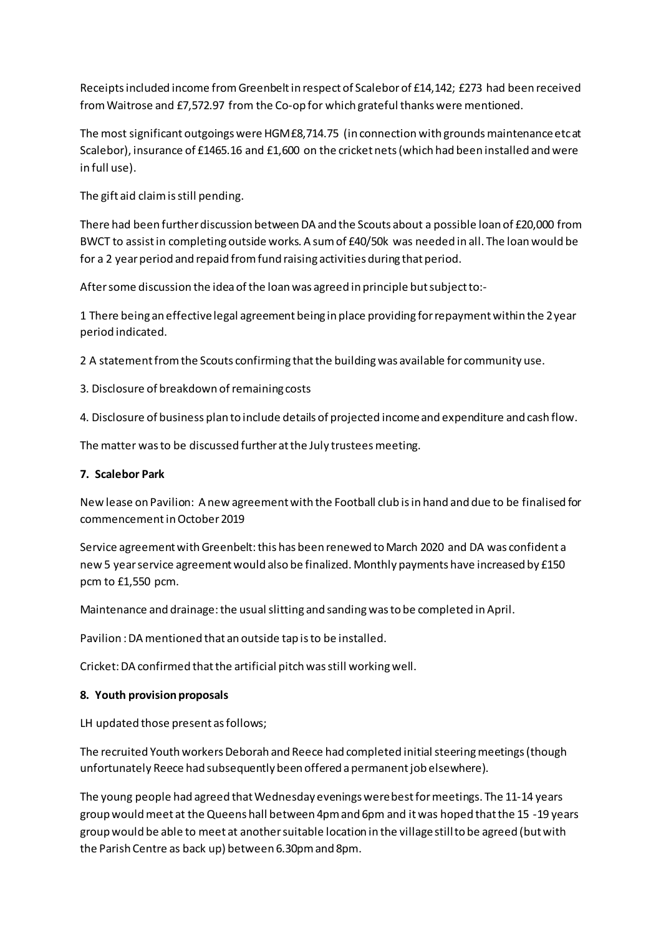Receipts included income from Greenbelt in respect of Scalebor of £14,142; £273 had been received fromWaitrose and £7,572.97 from the Co-op for which grateful thanks were mentioned.

The most significant outgoings were  $HGM£8,714.75$  (in connection with grounds maintenance etc at Scalebor), insurance of £1465.16 and £1,600 on the cricket nets(which had been installed and were in full use).

The gift aid claimisstill pending.

There had been further discussion between DA and the Scouts about a possible loan of £20,000 from BWCT to assistin completing outside works. A sumof £40/50k was needed in all. The loan would be for a 2 year period and repaid from fund raising activities during that period.

After some discussion the idea of the loan was agreed in principle but subject to:-

1 There being an effectivelegal agreement being in place providing forrepaymentwithin the 2year period indicated.

2 A statementfromthe Scouts confirming thatthe buildingwas available for community use.

3. Disclosure of breakdown of remaining costs

4. Disclosure of business plan to include details of projected incomeand expenditure and cash flow.

The matter was to be discussed further at the July trustees meeting.

#### **7. Scalebor Park**

New lease on Pavilion: A new agreementwith the Football club isin hand and due to be finalised for commencementinOctober2019

Service agreementwithGreenbelt:this has been renewed toMarch 2020 and DA was confident a new 5 year service agreement would also be finalized. Monthly payments have increased by £150 pcm to £1,550 pcm.

Maintenance and drainage: the usual slitting and sanding was to be completed in April.

Pavilion :DAmentioned that an outside tap isto be installed.

Cricket: DA confirmed that the artificial pitch was still working well.

#### **8. Youth provision proposals**

LH updated those present as follows;

The recruited Youth workers Deborah and Reece had completed initial steering meetings (though unfortunately Reece had subsequently been offered a permanent job elsewhere).

The young people had agreed that Wednesday evenings were best for meetings. The 11-14 years group wouldmeet at theQueens hall between 4pmand 6pm and itwas hoped thatthe 15 -19 years group would be able to meet at anothersuitable location in the villagestillto be agreed (butwith the Parish Centre as back up) between 6.30pmand 8pm.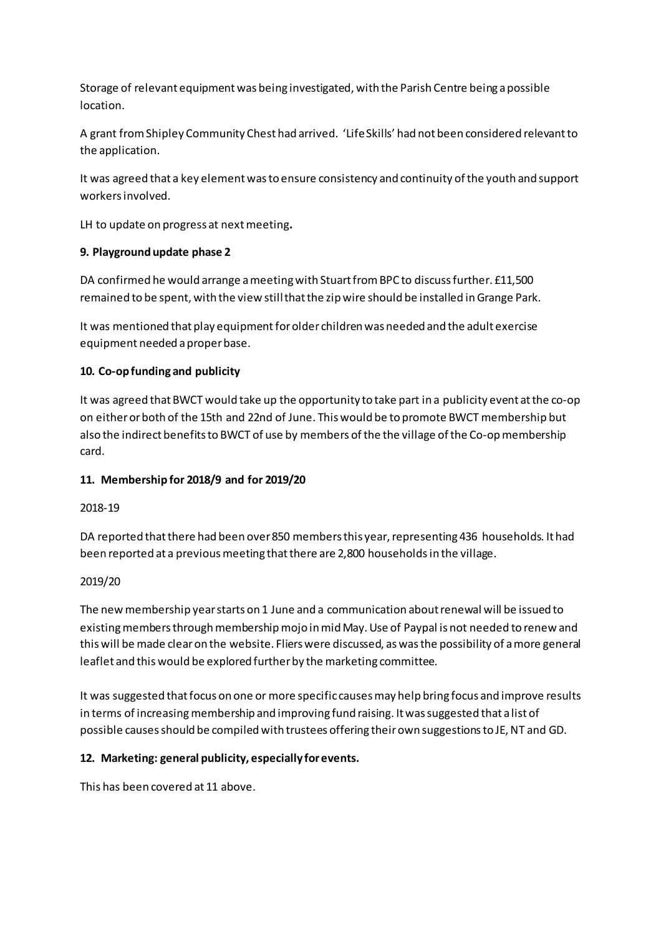Storage of relevant equipment was being investigated, with the Parish Centre being apossible location.

A grant fromShipley Community Chest had arrived. 'LifeSkills' had not been considered relevantto the application.

It was agreed that a key elementwasto ensure consistency and continuity ofthe youth and support workersinvolved.

LH to update on progress at nextmeeting**.**

## **9. Playground update phase 2**

DA confirmed he would arrange a meeting with Stuart from BPC to discuss further. £11,500 remained to be spent, with the view still that the zip wire should be installed in Grange Park.

It was mentioned that play equipmentforolder childrenwas needed and the adult exercise equipment needed aproperbase.

## **10. Co-opfunding and publicity**

It was agreed thatBWCT would take up the opportunity to take part in a publicity event atthe co-op on eitherorboth of the 15th and 22nd of June. Thiswould be to promote BWCT membership but also the indirect benefits to BWCT of use by members of the the village of the Co-op membership card.

# **11. Membership for 2018/9 and for 2019/20**

#### 2018-19

DA reported that there had been over 850 members this year, representing 436 households. It had been reported at a previous meeting that there are 2,800 households in the village.

#### 2019/20

The newmembership yearstarts on 1 June and a communication aboutrenewal will be issued to existing members through membership mojo in mid May. Use of Paypal is not needed to renew and this will be made clear on the website. Fliers were discussed, as was the possibility of a more general leaflet and this would be explored furtherby the marketing committee.

It was suggested that focus on one or more specific causes may help bring focus and improve results in terms of increasing membership and improving fund raising. It was suggested that a list of possible causesshould be compiled with trustees offering theirown suggestionsto JE,NT and GD.

# **12. Marketing: general publicity, especially forevents.**

This has been covered at 11 above.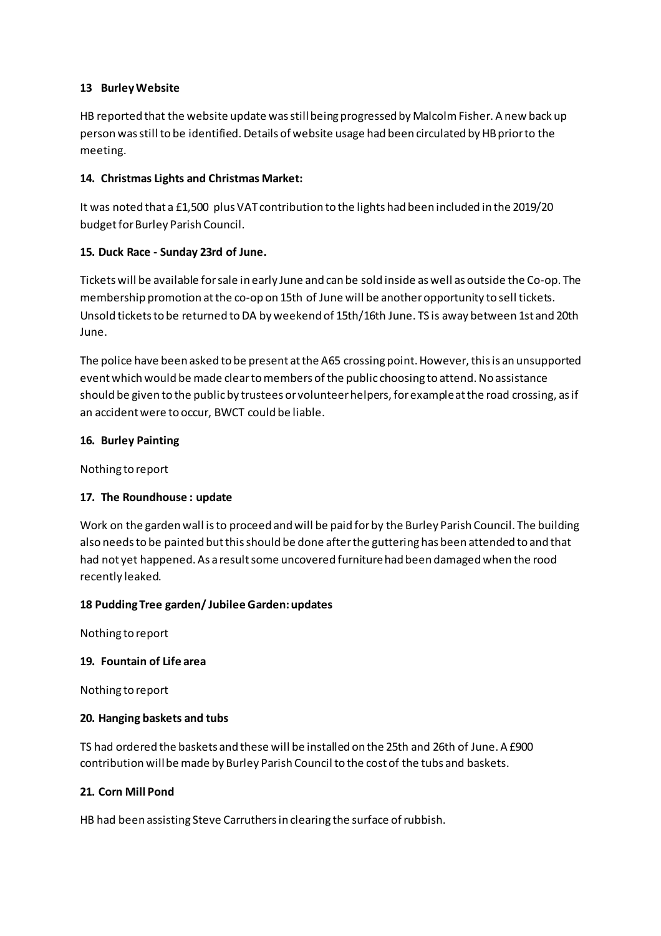### **13 BurleyWebsite**

HB reported that the website update was still being progressed by Malcolm Fisher. A new back up person was still to be identified. Details of website usage had been circulated by HB prior to the meeting.

## **14. Christmas Lights and Christmas Market:**

It was noted that a £1,500 plus VAT contribution to the lights had been included in the 2019/20 budget for Burley Parish Council.

## **15. Duck Race - Sunday 23rd of June.**

Tickets will be available forsale in early June and can be sold inside aswell as outside the Co-op. The membership promotion atthe co-op on 15th of June will be anotheropportunity to sell tickets. Unsold ticketsto be returned toDA by weekend of 15th/16th June. TS is away between 1st and 20th June.

The police have been asked to be present at the A65 crossing point. However, this is an unsupported eventwhich would be made cleartomembers ofthe public choosing to attend.No assistance should be given to the publicby trustees or volunteerhelpers, forexampleatthe road crossing, asif an accidentwere to occur, BWCT could be liable.

## **16. Burley Painting**

Nothing to report

# **17. The Roundhouse : update**

Work on the garden wall isto proceed andwill be paid forby the Burley Parish Council. The building also needs to be painted but this should be done after the guttering has been attended to and that had not yet happened. As a result some uncovered furniture had been damaged when the rood recently leaked.

#### **18 PuddingTree garden/ JubileeGarden:updates**

Nothing to report

#### **19. Fountain of Life area**

Nothing to report

#### **20. Hanging baskets and tubs**

TS had ordered the baskets and these will be installed on the 25th and 26th of June. A £900 contribution willbe made by Burley Parish Council to the cost of the tubs and baskets.

#### **21. Corn Mill Pond**

HB had been assisting Steve Carruthers in clearing the surface of rubbish.